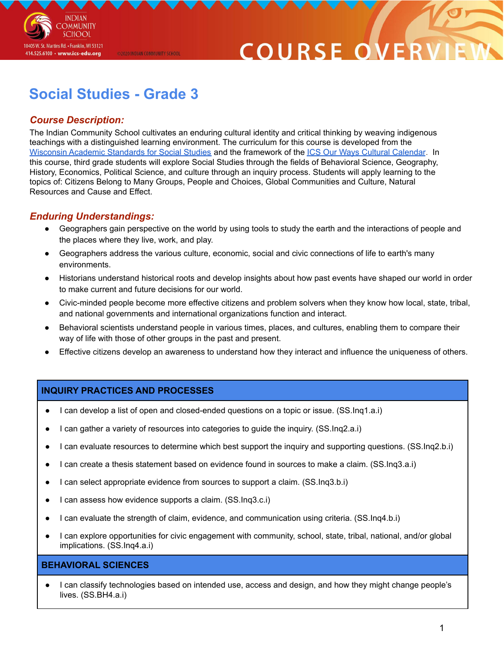

# COURSE O

# **Social Studies - Grade 3**

@2020 INDIAN COMMUNITY SCHOOL

### *Course Description:*

The Indian Community School cultivates an enduring cultural identity and critical thinking by weaving indigenous teachings with a distinguished learning environment. The curriculum for this course is developed from the Wisconsin Academic [Standards](https://dpi.wi.gov/sites/default/files/imce/standards/New%20pdfs/2018_WI_Social_Studies_Standards.pdf) for Social Studies and the framework of the ICS Our Ways Cultural [Calendar](https://drive.google.com/open?id=0B7pONXiRIufTT3VHOXBBeG9USHMzbDNIUi1nV0NTbURCMFRZ). In this course, third grade students will explore Social Studies through the fields of Behavioral Science, Geography, History, Economics, Political Science, and culture through an inquiry process. Students will apply learning to the topics of: Citizens Belong to Many Groups, People and Choices, Global Communities and Culture, Natural Resources and Cause and Effect.

#### *Enduring Understandings:*

- Geographers gain perspective on the world by using tools to study the earth and the interactions of people and the places where they live, work, and play.
- Geographers address the various culture, economic, social and civic connections of life to earth's many environments.
- Historians understand historical roots and develop insights about how past events have shaped our world in order to make current and future decisions for our world.
- Civic-minded people become more effective citizens and problem solvers when they know how local, state, tribal, and national governments and international organizations function and interact.
- Behavioral scientists understand people in various times, places, and cultures, enabling them to compare their way of life with those of other groups in the past and present.
- Effective citizens develop an awareness to understand how they interact and influence the uniqueness of others.

#### **INQUIRY PRACTICES AND PROCESSES**

- I can develop a list of open and closed-ended questions on a topic or issue. (SS.Inq1.a.i)
- I can gather a variety of resources into categories to guide the inquiry. (SS.Inq2.a.i)
- I can evaluate resources to determine which best support the inquiry and supporting questions. (SS.Inq2.b.i)
- I can create a thesis statement based on evidence found in sources to make a claim. (SS.Inq3.a.i)
- I can select appropriate evidence from sources to support a claim. (SS.Inq3.b.i)
- I can assess how evidence supports a claim. (SS.Inq3.c.i)
- I can evaluate the strength of claim, evidence, and communication using criteria. (SS.Ing4.b.i)
- I can explore opportunities for civic engagement with community, school, state, tribal, national, and/or global implications. (SS.Inq4.a.i)

#### **BEHAVIORAL SCIENCES**

I can classify technologies based on intended use, access and design, and how they might change people's lives. (SS.BH4.a.i)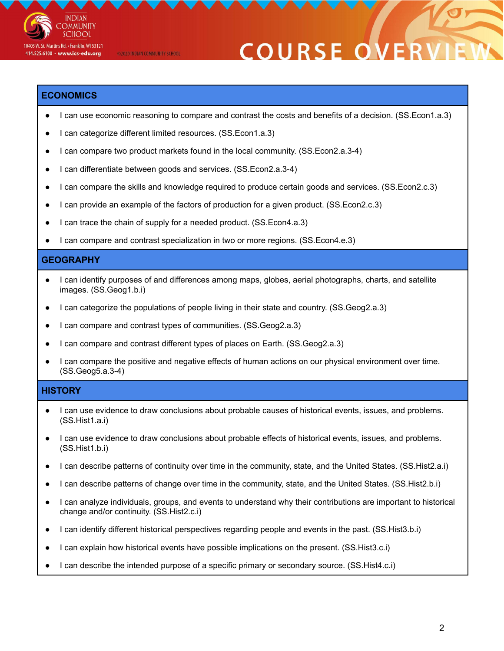

**COURSE ON** 

#### **ECONOMICS**

- I can use economic reasoning to compare and contrast the costs and benefits of a decision. (SS.Econ1.a.3)
- I can categorize different limited resources. (SS.Econ1.a.3)

©2020 INDIAN COMMUNITY SCHOOL

- I can compare two product markets found in the local community. (SS.Econ2.a.3-4)
- I can differentiate between goods and services. (SS.Econ2.a.3-4)
- I can compare the skills and knowledge required to produce certain goods and services. (SS.Econ2.c.3)
- I can provide an example of the factors of production for a given product. (SS.Econ2.c.3)
- I can trace the chain of supply for a needed product. (SS.Econ4.a.3)
- I can compare and contrast specialization in two or more regions. (SS. Econ4.e.3)

#### **GEOGRAPHY**

- I can identify purposes of and differences among maps, globes, aerial photographs, charts, and satellite images. (SS.Geog1.b.i)
- I can categorize the populations of people living in their state and country. (SS.Geog2.a.3)
- I can compare and contrast types of communities. (SS.Geog2.a.3)
- I can compare and contrast different types of places on Earth. (SS.Geog2.a.3)
- I can compare the positive and negative effects of human actions on our physical environment over time. (SS.Geog5.a.3-4)

#### **HISTORY**

- I can use evidence to draw conclusions about probable causes of historical events, issues, and problems. (SS.Hist1.a.i)
- I can use evidence to draw conclusions about probable effects of historical events, issues, and problems. (SS.Hist1.b.i)
- I can describe patterns of continuity over time in the community, state, and the United States. (SS.Hist2.a.i)
- I can describe patterns of change over time in the community, state, and the United States. (SS.Hist2.b.i)
- I can analyze individuals, groups, and events to understand why their contributions are important to historical change and/or continuity. (SS.Hist2.c.i)
- I can identify different historical perspectives regarding people and events in the past. (SS.Hist3.b.i)
- I can explain how historical events have possible implications on the present. (SS.Hist3.c.i)
- I can describe the intended purpose of a specific primary or secondary source. (SS.Hist4.c.i)